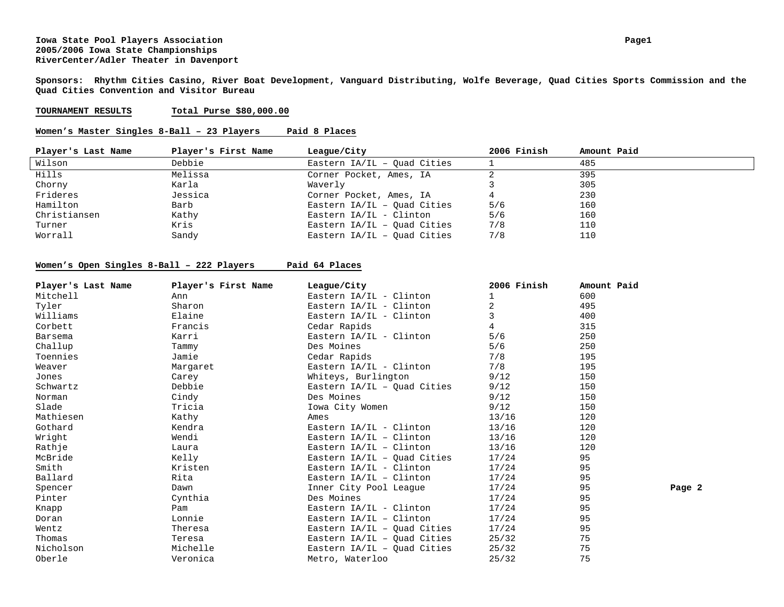#### **Iowa State Pool Players Association Page1 2005/2006 Iowa State Championships RiverCenter/Adler Theater in Davenport**

**Sponsors: Rhythm Cities Casino, River Boat Development, Vanguard Distributing, Wolfe Beverage, Quad Cities Sports Commission and the Quad Cities Convention and Visitor Bureau** 

#### **TOURNAMENT RESULTSTotal Purse \$80,000.00**

#### **Women's Master Singles 8-Ball – 23 Players Paid 8 Places**

| Player's Last Name | Player's First Name | League/City                   | 2006 Finish | Amount Paid |
|--------------------|---------------------|-------------------------------|-------------|-------------|
| Wilson             | Debbie              | Eastern $IA/IL - Quad Cities$ |             | 485         |
| Hills              | Melissa             | Corner Pocket, Ames, IA       |             | 395         |
| Chorny             | Karla               | Waverly                       |             | 305         |
| Frideres           | Jessica             | Corner Pocket, Ames, IA       |             | 230         |
| Hamilton           | Barb                | Eastern $IA/IL - Ouad Cities$ | 5/6         | 160         |
| Christiansen       | Kathy               | Eastern IA/IL - Clinton       | 5/6         | 160         |
| Turner             | Kris                | Eastern IA/IL - Ouad Cities   | 7/8         | 110         |
| Worrall            | Sandy               | Eastern $IA/IL - Ouad Cities$ | 7/8         | 110         |

#### **Women's Open Singles 8-Ball – 222 Players Paid 64 Places**

| Player's Last Name | Player's First Name | League/City                   | 2006 Finish | Amount Paid |        |
|--------------------|---------------------|-------------------------------|-------------|-------------|--------|
| Mitchell           | Ann                 | Eastern $IA/IL - Clinton$     |             | 600         |        |
| Tyler              | Sharon              | Eastern $IA/IL - Clinton$     |             | 495         |        |
| Williams           | Elaine              | Eastern $IA/IL - Clinton$     |             | 400         |        |
| Corbett            | Francis             | Cedar Rapids                  | 4           | 315         |        |
| Barsema            | Karri               | Eastern IA/IL - Clinton       | 5/6         | 250         |        |
| Challup            | Tammy               | Des Moines                    | 5/6         | 250         |        |
| Toennies           | Jamie               | Cedar Rapids                  | 7/8         | 195         |        |
| Weaver             | Margaret            | Eastern $IA/IL - Clinton$     | 7/8         | 195         |        |
| Jones              | Carey               | Whiteys, Burlington           | 9/12        | 150         |        |
| Schwartz           | Debbie              | Eastern $IA/IL - Ouad Cities$ | 9/12        | 150         |        |
| Norman             | Cindy               | Des Moines                    | 9/12        | 150         |        |
| Slade              | Tricia              | Iowa City Women               | 9/12        | 150         |        |
| Mathiesen          | Kathy               | Ames                          | 13/16       | 120         |        |
| Gothard            | Kendra              | Eastern $IA/IL - Clinton$     | 13/16       | 120         |        |
| Wright             | Wendi               | Eastern $IA/IL - Clinton$     | 13/16       | 120         |        |
| Rathje             | Laura               | Eastern $IA/IL - Clinton$     | 13/16       | 120         |        |
| McBride            | Kelly               | Eastern $IA/IL - Ouad Cities$ | 17/24       | 95          |        |
| Smith              | Kristen             | Eastern $IA/IL - Clinton$     | 17/24       | 95          |        |
| Ballard            | Rita                | Eastern $IA/IL - Clinton$     | 17/24       | 95          |        |
| Spencer            | Dawn                | Inner City Pool League        | 17/24       | 95          | Page 2 |
| Pinter             | Cynthia             | Des Moines                    | 17/24       | 95          |        |
| Knapp              | Pam                 | Eastern $IA/IL - Clinton$     | 17/24       | 95          |        |
| Doran              | Lonnie              | Eastern $IA/IL - Clinton$     | 17/24       | 95          |        |
| Wentz              | Theresa             | Eastern $IA/IL - Quad Cities$ | 17/24       | 95          |        |
| Thomas             | Teresa              | Eastern $IA/IL - Ouad Cities$ | 25/32       | 75          |        |
| Nicholson          | Michelle            | Eastern $IA/IL - Quad Cities$ | 25/32       | 75          |        |
| Oberle             | Veronica            | Metro, Waterloo               | 25/32       | 75          |        |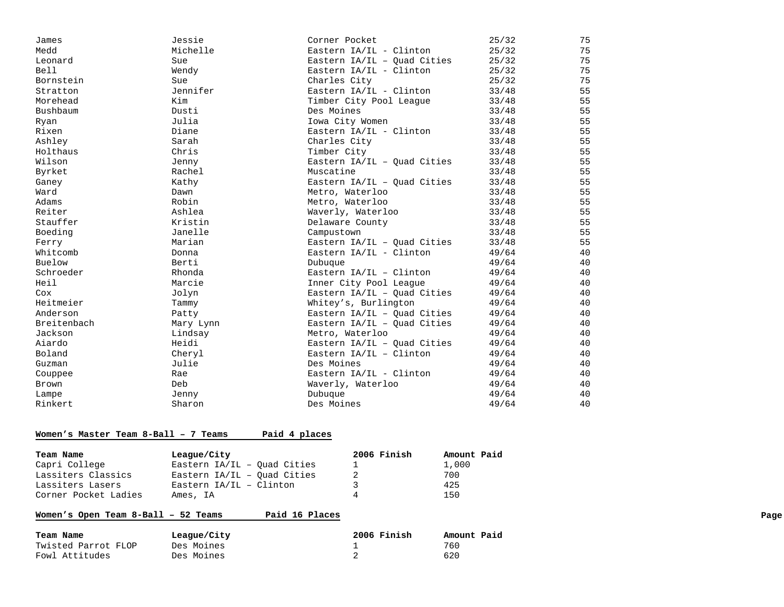| James           | Jessie    | Corner Pocket                 | 25/32 | 75 |
|-----------------|-----------|-------------------------------|-------|----|
| Medd            | Michelle  | Eastern IA/IL - Clinton       | 25/32 | 75 |
| Leonard         | Sue       | Eastern IA/IL - Ouad Cities   | 25/32 | 75 |
| <b>Bell</b>     | Wendy     | Eastern IA/IL - Clinton       | 25/32 | 75 |
| Bornstein       | Sue       | Charles City                  | 25/32 | 75 |
| Stratton        | Jennifer  | Eastern IA/IL - Clinton       | 33/48 | 55 |
| Morehead        | Kim       | Timber City Pool League       | 33/48 | 55 |
| <b>Bushbaum</b> | Dusti     | Des Moines                    | 33/48 | 55 |
| Ryan            | Julia     | Iowa City Women               | 33/48 | 55 |
| Rixen           | Diane     | Eastern IA/IL - Clinton       | 33/48 | 55 |
| Ashley          | Sarah     | Charles City                  | 33/48 | 55 |
| Holthaus        | Chris     | Timber City                   | 33/48 | 55 |
| Wilson          | Jenny     | Eastern IA/IL - Quad Cities   | 33/48 | 55 |
| Byrket          | Rachel    | Muscatine                     | 33/48 | 55 |
| Ganey           | Kathy     | Eastern IA/IL - Quad Cities   | 33/48 | 55 |
| Ward            | Dawn      | Metro, Waterloo               | 33/48 | 55 |
| Adams           | Robin     | Metro, Waterloo               | 33/48 | 55 |
| Reiter          | Ashlea    | Waverly, Waterloo             | 33/48 | 55 |
| Stauffer        | Kristin   | Delaware County               | 33/48 | 55 |
| Boeding         | Janelle   | Campustown                    | 33/48 | 55 |
| Ferry           | Marian    | Eastern IA/IL - Ouad Cities   | 33/48 | 55 |
| Whitcomb        | Donna     | Eastern $IA/IL - Clinton$     | 49/64 | 40 |
| Buelow          | Berti     | Dubuque                       | 49/64 | 40 |
| Schroeder       | Rhonda    | Eastern $IA/IL - Clinton$     | 49/64 | 40 |
| Heil            | Marcie    | Inner City Pool League        | 49/64 | 40 |
| Cox             | Jolyn     | Eastern $IA/IL - Quad Cities$ | 49/64 | 40 |
| Heitmeier       | Tammy     | Whitey's, Burlington          | 49/64 | 40 |
| Anderson        | Patty     | Eastern $IA/IL - Ouad Cities$ | 49/64 | 40 |
| Breitenbach     | Mary Lynn | Eastern $IA/IL - Ouad Cities$ | 49/64 | 40 |
| Jackson         | Lindsay   | Metro, Waterloo               | 49/64 | 40 |
| Aiardo          | Heidi     | Eastern $IA/IL - Quad Cities$ | 49/64 | 40 |
| Boland          | Cheryl    | Eastern $IA/IL - Clinton$     | 49/64 | 40 |
| Guzman          | Julie     | Des Moines                    | 49/64 | 40 |
| Couppee         | Rae       | Eastern IA/IL - Clinton       | 49/64 | 40 |
| Brown           | Deb       | Waverly, Waterloo             | 49/64 | 40 |
| Lampe           | Jenny     | Dubuque                       | 49/64 | 40 |
| Rinkert         | Sharon    | Des Moines                    | 49/64 | 40 |
|                 |           |                               |       |    |

#### **Women's Master Team 8-Ball – 7 Teams Paid 4 places**

| Team Name            | League/City                   | 2006 Finish | Amount Paid |
|----------------------|-------------------------------|-------------|-------------|
| Capri College        | Eastern $IA/IL - Ouad Cities$ |             | 1,000       |
| Lassiters Classics   | Eastern IA/IL - Ouad Cities   |             | 700         |
| Lassiters Lasers     | Eastern IA/IL - Clinton       |             | 425         |
| Corner Pocket Ladies | Ames, IA                      | $\Delta$    | 150         |

# Women's Open Team 8-Ball - 52 Teams Paid 16 Places **Page 10 12 12 13 13 14 16 Places**

| Team Name           | League/City | 2006 Finish | Amount Paid |
|---------------------|-------------|-------------|-------------|
| Twisted Parrot FLOP | Des Moines  |             | 760         |
| Fowl Attitudes      | Des Moines  |             | 620         |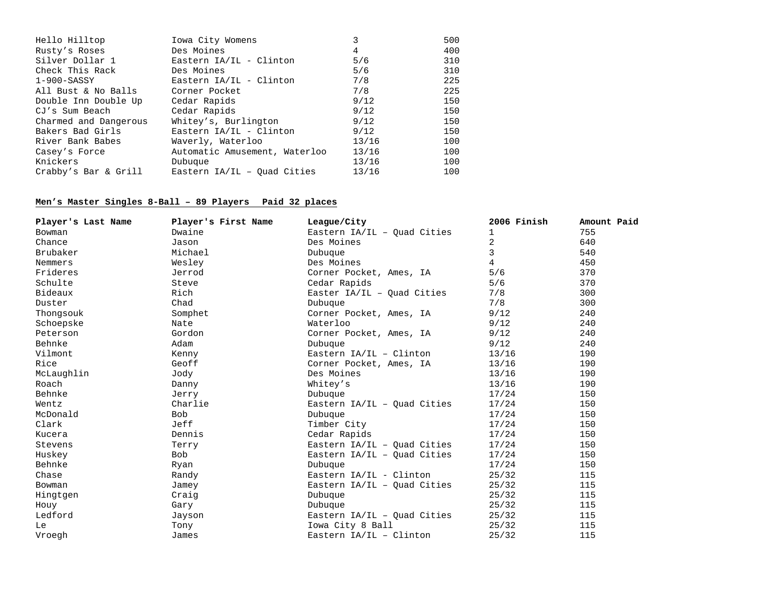| Hello Hilltop         | Iowa City Womens              | 3     | 500 |
|-----------------------|-------------------------------|-------|-----|
| Rusty's Roses         | Des Moines                    | 4     | 400 |
| Silver Dollar 1       | Eastern $IA/IL - Clinton$     | 5/6   | 310 |
| Check This Rack       | Des Moines                    | 5/6   | 310 |
| $1-900-SASSY$         | Eastern $IA/IL - Clinton$     | 7/8   | 225 |
| All Bust & No Balls   | Corner Pocket                 | 7/8   | 225 |
| Double Inn Double Up  | Cedar Rapids                  | 9/12  | 150 |
| CJ's Sum Beach        | Cedar Rapids                  | 9/12  | 150 |
| Charmed and Dangerous | Whitey's, Burlington          | 9/12  | 150 |
| Bakers Bad Girls      | Eastern $IA/IL - Clinton$     | 9/12  | 150 |
| River Bank Babes      | Waverly, Waterloo             | 13/16 | 100 |
| Casey's Force         | Automatic Amusement, Waterloo | 13/16 | 100 |
| Knickers              | Dubuque                       | 13/16 | 100 |
| Crabby's Bar & Grill  | Eastern $IA/IL - Ouad Cities$ | 13/16 | 100 |

# **Men's Master Singles 8-Ball – 89 Players Paid 32 places**

| Player's Last Name | Player's First Name | League/City                   | 2006 Finish    | Amount Paid |
|--------------------|---------------------|-------------------------------|----------------|-------------|
| <b>Bowman</b>      | Dwaine              | Eastern IA/IL - Quad Cities   | 1              | 755         |
| Chance             | Jason               | Des Moines                    | $\overline{2}$ | 640         |
| Brubaker           | Michael             | Dubuque                       | 3              | 540         |
| Nemmers            | Wesley              | Des Moines                    | 4              | 450         |
| Frideres           | Jerrod              | Corner Pocket, Ames, IA       | 5/6            | 370         |
| Schulte            | Steve               | Cedar Rapids                  | 5/6            | 370         |
| Bideaux            | Rich                | Easter $IA/IL - Quad Cities$  | 7/8            | 300         |
| Duster             | Chad                | Dubuque                       | 7/8            | 300         |
| Thongsouk          | Somphet             | Corner Pocket, Ames, IA       | 9/12           | 240         |
| Schoepske          | Nate                | Waterloo                      | 9/12           | 240         |
| Peterson           | Gordon              | Corner Pocket, Ames, IA       | 9/12           | 240         |
| Behnke             | Adam                | Dubuque                       | 9/12           | 240         |
| Vilmont            | Kenny               | Eastern IA/IL - Clinton       | 13/16          | 190         |
| Rice               | Geoff               | Corner Pocket, Ames, IA       | 13/16          | 190         |
| McLaughlin         | Jody                | Des Moines                    | 13/16          | 190         |
| Roach              | Danny               | Whitey's                      | 13/16          | 190         |
| Behnke             | Jerry               | Dubuque                       | 17/24          | 150         |
| Wentz              | Charlie             | Eastern $IA/IL - Quad Cities$ | 17/24          | 150         |
| McDonald           | Bob                 | Dubuque                       | 17/24          | 150         |
| Clark              | Jeff                | Timber City                   | 17/24          | 150         |
| Kucera             | Dennis              | Cedar Rapids                  | 17/24          | 150         |
| Stevens            | Terry               | Eastern $IA/IL - Quad Cities$ | 17/24          | 150         |
| Huskey             | <b>Bob</b>          | Eastern $IA/IL - Quad Cities$ | 17/24          | 150         |
| Behnke             | Ryan                | Dubuque                       | 17/24          | 150         |
| Chase              | Randy               | Eastern $IA/IL - Clinton$     | 25/32          | 115         |
| <b>Bowman</b>      | Jamey               | Eastern $IA/IL - Ouad Cities$ | 25/32          | 115         |
| Hingtgen           | Craig               | Dubuque                       | 25/32          | 115         |
| Houy               | Gary                | Dubuque                       | 25/32          | 115         |
| Ledford            | Jayson              | Eastern $IA/IL - Quad Cities$ | 25/32          | 115         |
| Le                 | Tony                | Iowa City 8 Ball              | 25/32          | 115         |
| Vroegh             | James               | Eastern $IA/IL - Clinton$     | 25/32          | 115         |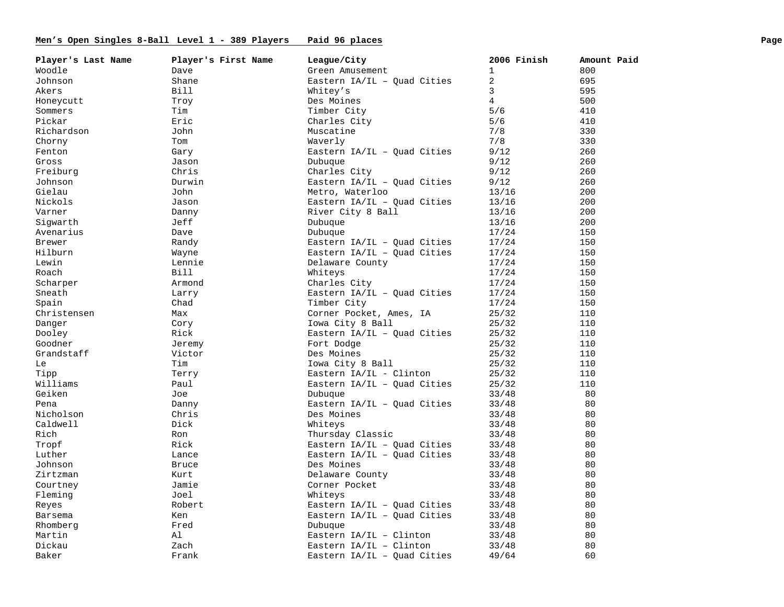# Men's Open Singles 8-Ball Level 1 - 389 Players Paid 96 places **Page 1961** Page **Page 1961** Page

| Player's Last Name | Player's First Name | League/City                   | 2006 Finish    | Amount Paid |
|--------------------|---------------------|-------------------------------|----------------|-------------|
| Woodle             | Dave                | Green Amusement               | $\mathbf{1}$   | 800         |
| Johnson            | Shane               | Eastern IA/IL - Quad Cities   | 2              | 695         |
| Akers              | Bill                | Whitey's                      | 3              | 595         |
| Honeycutt          | Troy                | Des Moines                    | $\overline{4}$ | 500         |
| Sommers            | Tim                 | Timber City                   | 5/6            | 410         |
| Pickar             | Eric                | Charles City                  | 5/6            | 410         |
| Richardson         | John                | Muscatine                     | 7/8            | 330         |
| Chorny             | Tom                 | Waverly                       | 7/8            | 330         |
| Fenton             | Gary                | Eastern $IA/IL - Quad Cities$ | 9/12           | 260         |
| Gross              | Jason               | Dubuque                       | 9/12           | 260         |
| Freiburg           | Chris               | Charles City                  | 9/12           | 260         |
| Johnson            | Durwin              | Eastern $IA/IL - Quad Cities$ | 9/12           | 260         |
| Gielau             | John                | Metro, Waterloo               | 13/16          | 200         |
| Nickols            | Jason               | Eastern $IA/IL - Quad Cities$ | 13/16          | 200         |
| Varner             | Danny               | River City 8 Ball             | 13/16          | 200         |
| Sigwarth           | Jeff                | Dubuque                       | 13/16          | 200         |
| Avenarius          | Dave                | Dubuque                       | 17/24          | 150         |
| Brewer             | Randy               | Eastern $IA/IL - Quad Cities$ | 17/24          | 150         |
| Hilburn            | Wayne               | Eastern $IA/IL - Quad Cities$ | 17/24          | 150         |
| Lewin              | Lennie              | Delaware County               | 17/24          | 150         |
| Roach              | Bill                | Whiteys                       | 17/24          | 150         |
| Scharper           | Armond              | Charles City                  | 17/24          | 150         |
| Sneath             | Larry               | Eastern $IA/IL - Quad Cities$ | 17/24          | 150         |
| Spain              | Chad                | Timber City                   | 17/24          | 150         |
| Christensen        | Max                 | Corner Pocket, Ames, IA       | 25/32          | 110         |
| Danger             | Cory                | Iowa City 8 Ball              | 25/32          | 110         |
| Dooley             | Rick                | Eastern IA/IL - Quad Cities   | 25/32          | 110         |
| Goodner            | Jeremy              | Fort Dodge                    | 25/32          | 110         |
| Grandstaff         | Victor              | Des Moines                    | 25/32          | 110         |
| Le                 | Tim                 | Iowa City 8 Ball              | 25/32          | 110         |
| Tipp               | Terry               | Eastern IA/IL - Clinton       | 25/32          | 110         |
| Williams           | Paul                | Eastern $IA/IL - Quad Cities$ | 25/32          | 110         |
| Geiken             | Joe                 | Dubuque                       | 33/48          | 80          |
| Pena               | Danny               | Eastern IA/IL - Quad Cities   | 33/48          | 80          |
| Nicholson          | Chris               | Des Moines                    | 33/48          | 80          |
| Caldwell           | Dick                | Whiteys                       | 33/48          | 80          |
| Rich               | Ron                 | Thursday Classic              | 33/48          | 80          |
| Tropf              | Rick                | Eastern $IA/IL - Ouad Cities$ | 33/48          | 80          |
| Luther             | Lance               | Eastern IA/IL - Ouad Cities   | 33/48          | 80          |
| Johnson            | <b>Bruce</b>        | Des Moines                    | 33/48          | 80          |
| Zirtzman           | Kurt                | Delaware County               | 33/48          | 80          |
| Courtney           | Jamie               | Corner Pocket                 | 33/48          | 80          |
| Fleming            | Joel                | Whiteys                       | 33/48          | 80          |
| Reyes              | Robert              | Eastern IA/IL - Quad Cities   | 33/48          | 80          |
| Barsema            | Ken                 | Eastern $IA/IL - Quad Cities$ | 33/48          | 80          |
| Rhomberg           | Fred                | Dubuque                       | 33/48          | 80          |
| Martin             | Al                  | Eastern $IA/IL - Clinton$     | 33/48          | 80          |
| Dickau             | Zach                | Eastern $IA/IL - Clinton$     | 33/48          | 80          |
| Baker              | Frank               | Eastern IA/IL - Quad Cities   | 49/64          | 60          |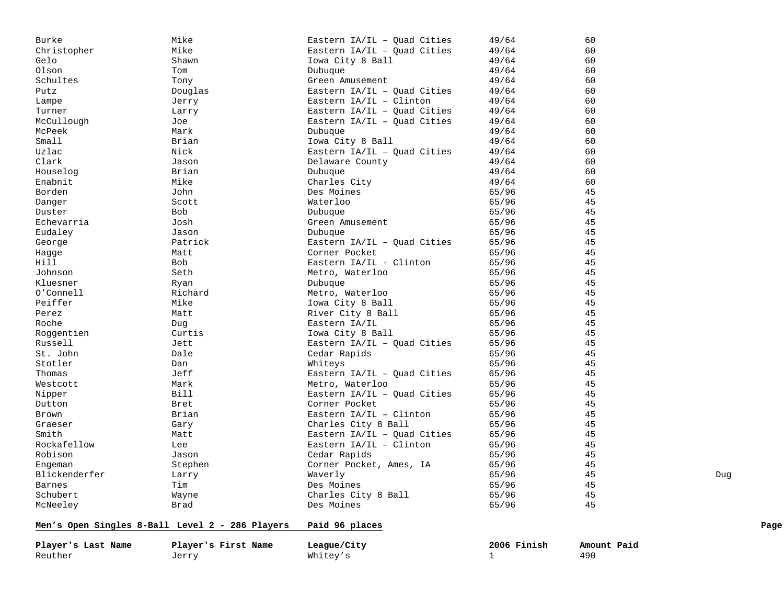| Player's Last Name | Player's First Name                             | League/City                   | 2006 Finish | Amount Paid |      |
|--------------------|-------------------------------------------------|-------------------------------|-------------|-------------|------|
|                    | Men's Open Singles 8-Ball Level 2 - 286 Players | Paid 96 places                |             |             | Page |
| McNeeley           | Brad                                            | Des Moines                    | 65/96       | 45          |      |
| Schubert           | Wayne                                           | Charles City 8 Ball           | 65/96       | 45          |      |
| <b>Barnes</b>      | Tim                                             | Des Moines                    | 65/96       | 45          |      |
| Blickenderfer      | Larry                                           | Waverly                       | 65/96       | 45          | Dug  |
| Engeman            | Stephen                                         | Corner Pocket, Ames, IA       | 65/96       | 45          |      |
| Robison            | Jason                                           | Cedar Rapids                  | 65/96       | 45          |      |
| Rockafellow        | Lee                                             | Eastern IA/IL - Clinton       | 65/96       | 45          |      |
| Smith              | Matt                                            | Eastern $IA/IL - Quad Cities$ | 65/96       | 45          |      |
| Graeser            | Gary                                            | Charles City 8 Ball           | 65/96       | 45          |      |
| Brown              | Brian                                           | Eastern $IA/IL$ - Clinton     | 65/96       | 45          |      |
| Dutton             | Bret                                            | Corner Pocket                 | 65/96       | 45          |      |
| Nipper             | <b>Bill</b>                                     | Eastern IA/IL - Quad Cities   | 65/96       | 45          |      |
| Westcott           | Mark                                            | Metro, Waterloo               | 65/96       | 45          |      |
| Thomas             | Jeff                                            | Eastern $IA/IL - Quad Cities$ | 65/96       | 45          |      |
| Stotler            | Dan                                             | Whiteys                       | 65/96       | 45          |      |
| St. John           | Dale                                            | Cedar Rapids                  | 65/96       | 45          |      |
| Russell            | Jett                                            | Eastern $IA/IL - Quad Cities$ | 65/96       | 45          |      |
| Roggentien         | Curtis                                          | Iowa City 8 Ball              | 65/96       | 45          |      |
| Roche              | Dug                                             | Eastern IA/IL                 | 65/96       | 45          |      |
| Perez              | Matt                                            | River City 8 Ball             | 65/96       | 45          |      |
| Peiffer            | Mike                                            | Iowa City 8 Ball              | 65/96       | 45          |      |
| O'Connell          | Richard                                         | Metro, Waterloo               | 65/96       | 45          |      |
| Kluesner           | Ryan                                            | Dubuque                       | 65/96       | 45          |      |
| Johnson            | Seth                                            | Metro, Waterloo               | 65/96       | 45          |      |
| Hill               | <b>Bob</b>                                      | Eastern IA/IL - Clinton       | 65/96       | 45          |      |
| Hagge              | Matt                                            | Corner Pocket                 | 65/96       | 45          |      |
| George             | Patrick                                         | Eastern $IA/IL - Quad Cities$ | 65/96       | 45          |      |
| Eudaley            | Jason                                           | Dubuque                       | 65/96       | 45          |      |
| Echevarria         | Josh                                            | Green Amusement               | 65/96       | 45          |      |
| Duster             | <b>Bob</b>                                      | Dubuque                       | 65/96       | 45          |      |
| Danger             | Scott                                           | Waterloo                      | 65/96       | 45          |      |
| Borden             | John                                            | Des Moines                    | 65/96       | 45          |      |
| Enabnit            | Mike                                            | Charles City                  | 49/64       | 60          |      |
| Houselog           | Brian                                           | Dubuque                       | 49/64       | 60          |      |
| Clark              | Jason                                           | Delaware County               | 49/64       | 60          |      |
| Uzlac              | Nick                                            | Eastern $IA/IL - Quad Cities$ | 49/64       | 60          |      |
| Small              | Brian                                           | Iowa City 8 Ball              | 49/64       | 60          |      |
| McPeek             | Mark                                            | Dubuque                       | 49/64       | 60          |      |
| McCullough         | Joe                                             | Eastern $IA/IL - Quad Cities$ | 49/64       | 60          |      |
| Turner             | Larry                                           | Eastern $IA/IL - Quad Cities$ | 49/64       | 60          |      |
| Lampe              | Jerry                                           | Eastern IA/IL - Clinton       | 49/64       | 60          |      |
| Putz               | Douglas                                         | Eastern IA/IL - Quad Cities   | 49/64       | 60          |      |
| Schultes           | Tony                                            | Green Amusement               | 49/64       | 60          |      |
| Olson              | Tom                                             | Dubuque                       | 49/64       | 60          |      |
| Gelo               | Shawn                                           | Iowa City 8 Ball              | 49/64       | 60          |      |
| Christopher        | Mike                                            | Eastern $IA/IL - Quad Cities$ | 49/64       | 60          |      |
| Burke              | Mike                                            | Eastern $IA/IL - Quad Cities$ | 49/64       | 60          |      |

Reuther Jerry Whitey's 1 490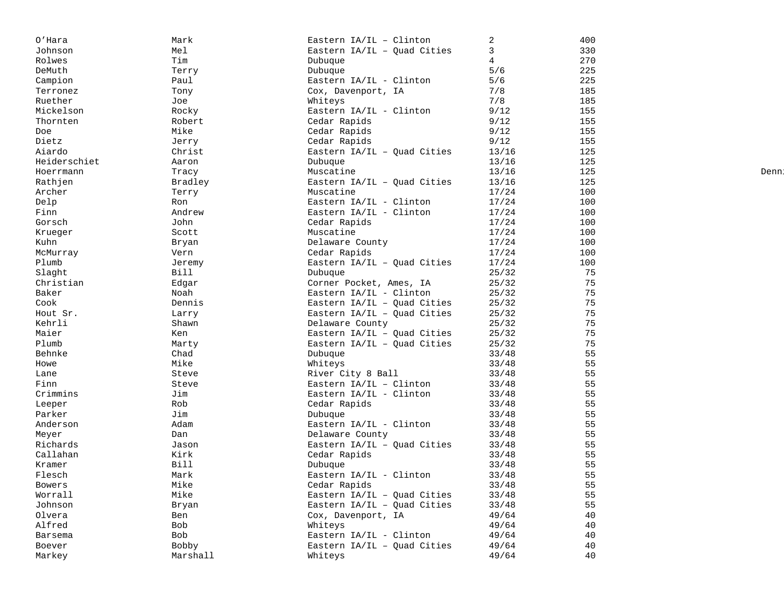| O'Hara           | Mark         | Eastern IA/IL - Clinton                  | 2     | 400 |       |
|------------------|--------------|------------------------------------------|-------|-----|-------|
| Johnson          | Mel          | Eastern IA/IL - Quad Cities              | 3     | 330 |       |
| Rolwes           | Tim          | Dubuque                                  | 4     | 270 |       |
| DeMuth           | Terry        | Dubuque                                  | 5/6   | 225 |       |
| Campion          | Paul         | Eastern IA/IL - Clinton                  | 5/6   | 225 |       |
| Terronez         | Tony         | Cox, Davenport, IA                       | 7/8   | 185 |       |
| Ruether          | Joe          | Whiteys                                  | 7/8   | 185 |       |
| Mickelson        | Rocky        | Eastern IA/IL - Clinton                  | 9/12  | 155 |       |
| Thornten         | Robert       | Cedar Rapids                             | 9/12  | 155 |       |
| Doe              | Mike         | Cedar Rapids                             | 9/12  | 155 |       |
| Dietz            | Jerry        | Cedar Rapids                             | 9/12  | 155 |       |
| Aiardo           | Christ       | Eastern IA/IL - Quad Cities              | 13/16 | 125 |       |
| Heiderschiet     | Aaron        | Dubuque                                  | 13/16 | 125 |       |
| Hoerrmann        | Tracy        | Muscatine                                | 13/16 | 125 | Denn! |
| Rathjen          | Bradley      | Eastern IA/IL - Quad Cities              | 13/16 | 125 |       |
| Archer           | Terry        | Muscatine                                | 17/24 | 100 |       |
| Delp             | Ron          | Eastern IA/IL - Clinton                  | 17/24 | 100 |       |
| Finn             | Andrew       | Eastern IA/IL - Clinton                  | 17/24 | 100 |       |
| Gorsch           | John         | Cedar Rapids                             | 17/24 | 100 |       |
| Krueger          | Scott        | Muscatine                                | 17/24 | 100 |       |
| Kuhn             | Bryan        | Delaware County                          | 17/24 | 100 |       |
| McMurray         | Vern         | Cedar Rapids                             | 17/24 | 100 |       |
| Plumb            | Jeremy       | Eastern $IA/IL - Ouad Cities$            | 17/24 | 100 |       |
| Slaght           | Bill         | Dubuque                                  | 25/32 | 75  |       |
| Christian        | Edgar        | Corner Pocket, Ames, IA                  | 25/32 | 75  |       |
| Baker            | Noah         | Eastern IA/IL - Clinton                  | 25/32 | 75  |       |
| Cook             | Dennis       | Eastern $IA/IL - Ouad Cities$            | 25/32 | 75  |       |
| Hout Sr.         | Larry        | Eastern IA/IL - Quad Cities              | 25/32 | 75  |       |
| Kehrli           | Shawn        | Delaware County                          | 25/32 | 75  |       |
| Maier            | Ken          | Eastern IA/IL - Quad Cities              | 25/32 | 75  |       |
| Plumb            | Marty        | Eastern IA/IL - Quad Cities              | 25/32 | 75  |       |
| Behnke           | Chad         | Dubuque                                  | 33/48 | 55  |       |
| Howe             | Mike         | Whiteys                                  | 33/48 | 55  |       |
| Lane             | Steve        | River City 8 Ball                        | 33/48 | 55  |       |
| Finn             | Steve        | Eastern IA/IL - Clinton                  | 33/48 | 55  |       |
| Crimmins         | Jim          | Eastern IA/IL - Clinton                  | 33/48 | 55  |       |
| Leeper           | Rob          | Cedar Rapids                             | 33/48 | 55  |       |
| Parker           | Jim          | Dubuque                                  | 33/48 | 55  |       |
| Anderson         | Adam         | Eastern IA/IL - Clinton                  | 33/48 | 55  |       |
| Meyer            | Dan          | Delaware County                          | 33/48 | 55  |       |
| Richards         | Jason        | Eastern IA/IL - Quad Cities              | 33/48 | 55  |       |
| Callahan         | Kirk         | Cedar Rapids                             | 33/48 | 55  |       |
| Kramer           | Bill         | Dubuque                                  | 33/48 | 55  |       |
| Flesch           | Mark         | Eastern IA/IL - Clinton                  | 33/48 | 55  |       |
| Bowers           | Mike         | Cedar Rapids                             | 33/48 | 55  |       |
| Worrall          | Mike         | Eastern IA/IL - Quad Cities              | 33/48 | 55  |       |
| Johnson          |              | Eastern IA/IL - Quad Cities              | 33/48 | 55  |       |
| Olvera           | Bryan<br>Ben | Cox, Davenport, IA                       | 49/64 | 40  |       |
| Alfred           | Bob          |                                          | 49/64 | 40  |       |
|                  | Bob          | Whiteys<br>Eastern IA/IL - Clinton       | 49/64 | 40  |       |
| Barsema          | <b>Bobby</b> |                                          |       | 40  |       |
| Boever<br>Markey | Marshall     | Eastern $IA/IL - Quad Cities$<br>Whiteys | 49/64 | 40  |       |
|                  |              |                                          | 49/64 |     |       |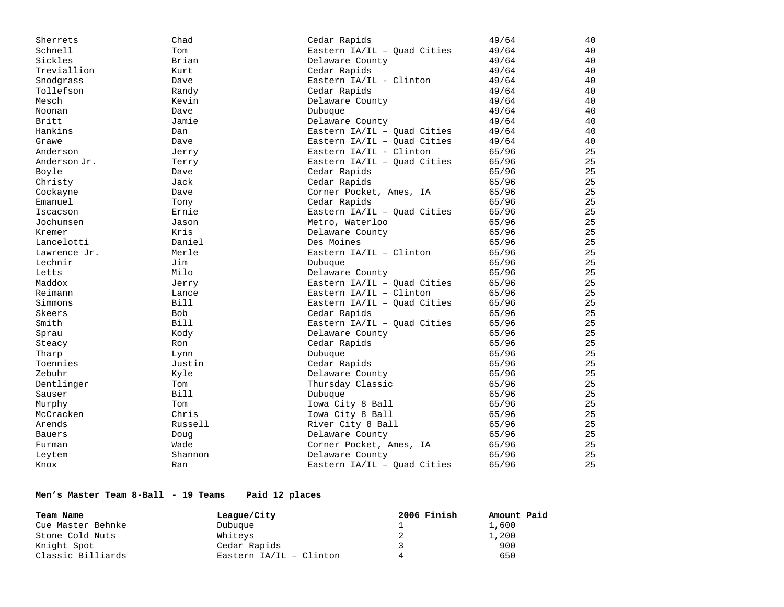| Sherrets      | Chad        | Cedar Rapids                  | 49/64 | 40 |
|---------------|-------------|-------------------------------|-------|----|
| Schnell       | Tom         | Eastern $IA/IL - Quad Cities$ | 49/64 | 40 |
| Sickles       | Brian       | Delaware County               | 49/64 | 40 |
| Treviallion   | Kurt        | Cedar Rapids                  | 49/64 | 40 |
| Snodgrass     | Dave        | Eastern $IA/IL - Clinton$     | 49/64 | 40 |
| Tollefson     | Randy       | Cedar Rapids                  | 49/64 | 40 |
| Mesch         | Kevin       | Delaware County               | 49/64 | 40 |
| Noonan        | Dave        | Dubuque                       | 49/64 | 40 |
| Britt         | Jamie       | Delaware County               | 49/64 | 40 |
| Hankins       | Dan         | Eastern IA/IL - Quad Cities   | 49/64 | 40 |
| Grawe         | Dave        | Eastern IA/IL - Quad Cities   | 49/64 | 40 |
| Anderson      | Jerry       | Eastern IA/IL - Clinton       | 65/96 | 25 |
| Anderson Jr.  | Terry       | Eastern IA/IL - Quad Cities   | 65/96 | 25 |
| Boyle         | Dave        | Cedar Rapids                  | 65/96 | 25 |
| Christy       | Jack        | Cedar Rapids                  | 65/96 | 25 |
| Cockayne      | Dave        | Corner Pocket, Ames, IA       | 65/96 | 25 |
| Emanuel       | Tony        | Cedar Rapids                  | 65/96 | 25 |
| Iscacson      | Ernie       | Eastern $IA/IL - Quad Cities$ | 65/96 | 25 |
| Jochumsen     | Jason       | Metro, Waterloo               | 65/96 | 25 |
| Kremer        | Kris        | Delaware County               | 65/96 | 25 |
| Lancelotti    | Daniel      | Des Moines                    | 65/96 | 25 |
| Lawrence Jr.  | Merle       | Eastern $IA/IL - Clinton$     | 65/96 | 25 |
| Lechnir       | Jim         | Dubuque                       | 65/96 | 25 |
| Letts         | Milo        | Delaware County               | 65/96 | 25 |
| Maddox        | Jerry       | Eastern IA/IL - Quad Cities   | 65/96 | 25 |
| Reimann       | Lance       | Eastern $IA/IL - Clinton$     | 65/96 | 25 |
| Simmons       | <b>Bill</b> | Eastern IA/IL - Quad Cities   | 65/96 | 25 |
| Skeers        | <b>Bob</b>  | Cedar Rapids                  | 65/96 | 25 |
| Smith         | <b>Bill</b> | Eastern IA/IL - Quad Cities   | 65/96 | 25 |
| Sprau         | Kody        | Delaware County               | 65/96 | 25 |
| Steacy        | Ron         | Cedar Rapids                  | 65/96 | 25 |
| Tharp         | Lynn        | Dubuque                       | 65/96 | 25 |
| Toennies      | Justin      | Cedar Rapids                  | 65/96 | 25 |
| Zebuhr        | Kyle        | Delaware County               | 65/96 | 25 |
| Dentlinger    | Tom         | Thursday Classic              | 65/96 | 25 |
| Sauser        | <b>Bill</b> | Dubuque                       | 65/96 | 25 |
| Murphy        | Tom         | Iowa City 8 Ball              | 65/96 | 25 |
| McCracken     | Chris       | Iowa City 8 Ball              | 65/96 | 25 |
| Arends        | Russell     | River City 8 Ball             | 65/96 | 25 |
| <b>Bauers</b> | Doug        | Delaware County               | 65/96 | 25 |
| Furman        | Wade        | Corner Pocket, Ames, IA       | 65/96 | 25 |
| Leytem        | Shannon     | Delaware County               | 65/96 | 25 |
| Knox          | Ran         | Eastern IA/IL - Quad Cities   | 65/96 | 25 |

# **Men's Master Team 8-Ball - 19 Teams Paid 12 places**

| Team Name         | League/City               | 2006 Finish | Amount Paid |
|-------------------|---------------------------|-------------|-------------|
| Cue Master Behnke | Dubuque                   |             | 1,600       |
| Stone Cold Nuts   | Whiteys                   |             | 1,200       |
| Knight Spot       | Cedar Rapids              |             | 900         |
| Classic Billiards | Eastern $IA/IL - Clinton$ |             | 650         |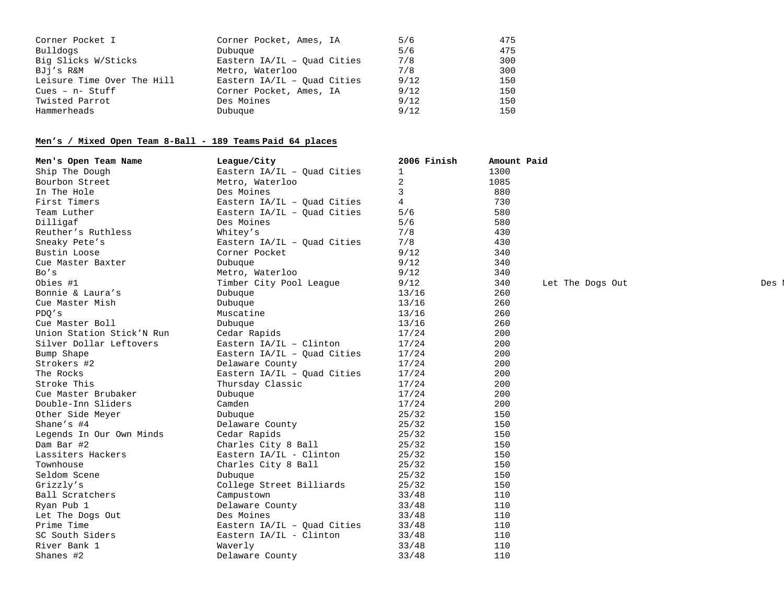| Corner Pocket I            | Corner Pocket, Ames, IA       | 5/6  | 475 |
|----------------------------|-------------------------------|------|-----|
| Bulldogs                   | Dubuque                       | 5/6  | 475 |
| Big Slicks W/Sticks        | Eastern $IA/IL - Ouad Cities$ | 7/8  | 300 |
| BJj′s R&M                  | Metro, Waterloo               | 7/8  | 300 |
| Leisure Time Over The Hill | Eastern $IA/IL - Ouad Cities$ | 9/12 | 150 |
| $Cues - n - Stuff$         | Corner Pocket, Ames, IA       | 9/12 | 150 |
| Twisted Parrot             | Des Moines                    | 9/12 | 150 |
| Hammerheads                | Dubuque                       | 9/12 | 150 |

# **Men's / Mixed Open Team 8-Ball - 189 Teams Paid 64 places**

| Men's Open Team Name      | League/City                   | 2006 Finish | Amount Paid |                  |     |
|---------------------------|-------------------------------|-------------|-------------|------------------|-----|
| Ship The Dough            | Eastern $IA/IL - Ouad Cities$ | 1           | 1300        |                  |     |
| Bourbon Street            | Metro, Waterloo               | 2           | 1085        |                  |     |
| In The Hole               | Des Moines                    | 3           | 880         |                  |     |
| First Timers              | Eastern IA/IL - Quad Cities   | 4           | 730         |                  |     |
| Team Luther               | Eastern IA/IL - Ouad Cities   | 5/6         | 580         |                  |     |
| Dilligaf                  | Des Moines                    | 5/6         | 580         |                  |     |
| Reuther's Ruthless        | Whitey's                      | 7/8         | 430         |                  |     |
| Sneaky Pete's             | Eastern $IA/IL - Quad Cities$ | 7/8         | 430         |                  |     |
| Bustin Loose              | Corner Pocket                 | 9/12        | 340         |                  |     |
| Cue Master Baxter         | Dubuque                       | 9/12        | 340         |                  |     |
| Bo's                      | Metro, Waterloo               | 9/12        | 340         |                  |     |
| Obies #1                  | Timber City Pool League       | 9/12        | 340         | Let The Dogs Out | Des |
| Bonnie & Laura's          | Dubuque                       | 13/16       | 260         |                  |     |
| Cue Master Mish           | Dubuque                       | 13/16       | 260         |                  |     |
| PDO's                     | Muscatine                     | 13/16       | 260         |                  |     |
| Cue Master Boll           | Dubuque                       | 13/16       | 260         |                  |     |
| Union Station Stick'N Run | Cedar Rapids                  | 17/24       | 200         |                  |     |
| Silver Dollar Leftovers   | Eastern $IA/IL - Clinton$     | 17/24       | 200         |                  |     |
| Bump Shape                | Eastern $IA/IL - Quad Cities$ | 17/24       | 200         |                  |     |
| Strokers #2               | Delaware County               | 17/24       | 200         |                  |     |
| The Rocks                 | Eastern $IA/IL - Quad Cities$ | 17/24       | 200         |                  |     |
| Stroke This               | Thursday Classic              | 17/24       | 200         |                  |     |
| Cue Master Brubaker       | Dubuque                       | 17/24       | 200         |                  |     |
| Double-Inn Sliders        | Camden                        | 17/24       | 200         |                  |     |
| Other Side Meyer          | Dubuque                       | 25/32       | 150         |                  |     |
| Shane's #4                | Delaware County               | 25/32       | 150         |                  |     |
| Legends In Our Own Minds  | Cedar Rapids                  | 25/32       | 150         |                  |     |
| Dam Bar #2                | Charles City 8 Ball           | 25/32       | 150         |                  |     |
| Lassiters Hackers         | Eastern IA/IL - Clinton       | 25/32       | 150         |                  |     |
| Townhouse                 | Charles City 8 Ball           | 25/32       | 150         |                  |     |
| Seldom Scene              | Dubuque                       | 25/32       | 150         |                  |     |
| Grizzly's                 | College Street Billiards      | 25/32       | 150         |                  |     |
| Ball Scratchers           | Campustown                    | 33/48       | 110         |                  |     |
| Ryan Pub 1                | Delaware County               | 33/48       | 110         |                  |     |
| Let The Dogs Out          | Des Moines                    | 33/48       | 110         |                  |     |
| Prime Time                | Eastern $IA/IL - Quad Cities$ | 33/48       | 110         |                  |     |
| SC South Siders           | Eastern IA/IL - Clinton       | 33/48       | 110         |                  |     |
| River Bank 1              | Waverly                       | 33/48       | 110         |                  |     |
| Shanes #2                 | Delaware County               | 33/48       | 110         |                  |     |

M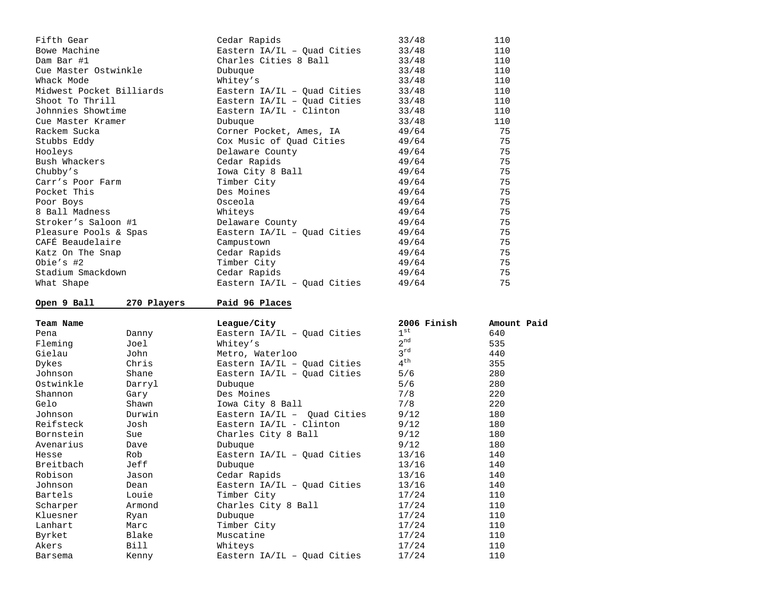| Fifth Gear               |             | Cedar Rapids                                | 33/48           | 110         |
|--------------------------|-------------|---------------------------------------------|-----------------|-------------|
| Bowe Machine             |             | Eastern IA/IL - Quad Cities                 | 33/48           | 110         |
| Dam Bar #1               |             | Charles Cities 8 Ball                       | 33/48           | 110         |
| Cue Master Ostwinkle     |             | Dubuque                                     | 33/48           | 110         |
| Whack Mode               |             | Whitey's                                    | 33/48           | 110         |
| Midwest Pocket Billiards |             | Eastern IA/IL - Quad Cities                 | 33/48           | 110         |
| Shoot To Thrill          |             | Eastern IA/IL - Quad Cities                 | 33/48           | 110         |
| Johnnies Showtime        |             | Eastern IA/IL - Clinton                     | 33/48           | 110         |
| Cue Master Kramer        |             | Dubuque                                     | 33/48           | 110         |
| Rackem Sucka             |             | Corner Pocket, Ames, IA                     | 49/64           | 75          |
| Stubbs Eddy              |             | Cox Music of Quad Cities                    | 49/64           | 75          |
| Hooleys                  |             | Delaware County                             | 49/64           | 75          |
| Bush Whackers            |             | Cedar Rapids                                | 49/64           | 75          |
| Chubby's                 |             | Iowa City 8 Ball                            | 49/64           | 75          |
| Carr's Poor Farm         |             | Timber City                                 | 49/64           | 75          |
| Pocket This              |             | Des Moines                                  | 49/64           | 75          |
| Poor Boys                |             | Osceola                                     | 49/64           | 75          |
| 8 Ball Madness           |             | Whiteys                                     | 49/64           | 75          |
| Stroker's Saloon #1      |             | Delaware County                             | 49/64           | 75          |
| Pleasure Pools & Spas    |             | Eastern IA/IL - Quad Cities                 | 49/64           | 75          |
| CAFÉ Beaudelaire         |             | Campustown                                  | 49/64           | 75          |
| Katz On The Snap         |             | Cedar Rapids                                | 49/64           | 75          |
| Obie's #2                |             | Timber City                                 | 49/64           | 75          |
| Stadium Smackdown        |             | Cedar Rapids                                | 49/64           | 75          |
| What Shape               |             | Eastern $IA/IL - Quad Cities$               | 49/64           | 75          |
|                          |             |                                             |                 |             |
|                          |             |                                             |                 |             |
| Open 9 Ball              | 270 Players | Paid 96 Places                              |                 |             |
| Team Name                |             | League/City                                 | 2006 Finish     | Amount Paid |
| Pena                     | Danny       | Eastern $IA/IL - Quad Cities$               | $1^{st}$        | 640         |
| Fleming                  | Joel        | Whitey's                                    | $2^{nd}$        | 535         |
| Gielau                   | John        | Metro, Waterloo                             | $3^{\text{rd}}$ | 440         |
| Dykes                    | Chris       | Eastern $IA/IL - Quad Cities$               | $4^{\text{th}}$ | 355         |
| Johnson                  | Shane       | Eastern $IA/IL - Quad Cities$               | 5/6             | 280         |
| Ostwinkle                | Darryl      | Dubuque                                     | 5/6             | 280         |
| Shannon                  | Gary        | Des Moines                                  | 7/8             | 220         |
| Gelo                     | Shawn       | Iowa City 8 Ball                            | 7/8             | 220         |
| Johnson                  | Durwin      | Eastern $IA/IL - Quad Cities$               | 9/12            | 180         |
| Reifsteck                | Josh        | Eastern IA/IL - Clinton                     | 9/12            | 180         |
| Bornstein                | Sue         | Charles City 8 Ball                         | 9/12            | 180         |
| Avenarius                | Dave        | Dubuque                                     | 9/12            | 180         |
| Hesse                    | Rob         | Eastern IA/IL - Quad Cities                 | 13/16           | 140         |
| Breitbach                | Jeff        | Dubuque                                     | 13/16           | 140         |
| Robison                  | Jason       |                                             | 13/16           | 140         |
| Johnson                  | Dean        | Cedar Rapids<br>Eastern IA/IL - Quad Cities | 13/16           | 140         |
| Bartels                  | Louie       | Timber City                                 | 17/24           | 110         |
| Scharper                 | Armond      | Charles City 8 Ball                         | 17/24           | 110         |
| Kluesner                 | Ryan        | Dubuque                                     | 17/24           | 110         |
| Lanhart                  | Marc        | Timber City                                 | 17/24           | 110         |
| Byrket                   | Blake       | Muscatine                                   | 17/24           | 110         |
| Akers                    | Bill        | Whiteys                                     | 17/24           | 110         |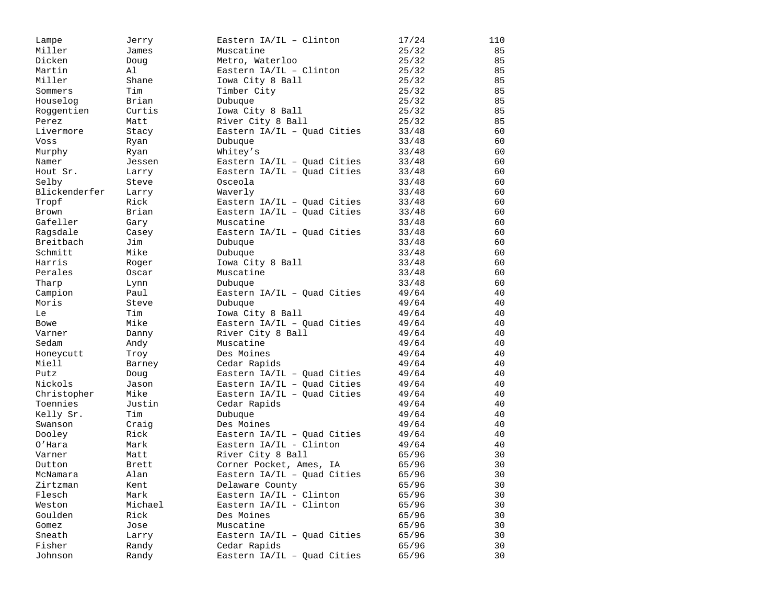| Lampe         | Jerry   | Eastern IA/IL - Clinton       | 17/24 | 110 |
|---------------|---------|-------------------------------|-------|-----|
| Miller        | James   | Muscatine                     | 25/32 | 85  |
| Dicken        | Doug    | Metro, Waterloo               | 25/32 | 85  |
| Martin        | Al      | Eastern IA/IL - Clinton       | 25/32 | 85  |
| Miller        | Shane   | Iowa City 8 Ball              | 25/32 | 85  |
| Sommers       | Tim     | Timber City                   | 25/32 | 85  |
| Houselog      | Brian   | Dubuque                       | 25/32 | 85  |
| Roggentien    | Curtis  | Iowa City 8 Ball              | 25/32 | 85  |
| Perez         | Matt    | River City 8 Ball             | 25/32 | 85  |
| Livermore     | Stacy   | Eastern $IA/IL - Quad Cities$ | 33/48 | 60  |
| Voss          | Ryan    | Dubuque                       | 33/48 | 60  |
| Murphy        | Ryan    | Whitey's                      | 33/48 | 60  |
| Namer         | Jessen  | Eastern IA/IL - Quad Cities   | 33/48 | 60  |
| Hout Sr.      | Larry   | Eastern $IA/IL - Quad Cities$ | 33/48 | 60  |
| Selby         | Steve   | Osceola                       | 33/48 | 60  |
| Blickenderfer | Larry   | Waverly                       | 33/48 | 60  |
| Tropf         | Rick    | Eastern $IA/IL - Quad Cities$ | 33/48 | 60  |
| Brown         | Brian   | Eastern $IA/IL - Quad Cities$ | 33/48 | 60  |
| Gafeller      | Gary    | Muscatine                     | 33/48 | 60  |
| Ragsdale      | Casey   | Eastern IA/IL - Quad Cities   | 33/48 | 60  |
| Breitbach     | Jim     | Dubuque                       | 33/48 | 60  |
| Schmitt       | Mike    | Dubuque                       | 33/48 | 60  |
| Harris        | Roger   | Iowa City 8 Ball              | 33/48 | 60  |
| Perales       | Oscar   | Muscatine                     | 33/48 | 60  |
| Tharp         | Lynn    | Dubuque                       | 33/48 | 60  |
| Campion       | Paul    | Eastern IA/IL - Quad Cities   | 49/64 | 40  |
| Moris         | Steve   | Dubuque                       | 49/64 | 40  |
| Le            | Tim     | Iowa City 8 Ball              | 49/64 | 40  |
| <b>Bowe</b>   | Mike    | Eastern IA/IL - Quad Cities   | 49/64 | 40  |
| Varner        | Danny   | River City 8 Ball             | 49/64 | 40  |
| Sedam         | Andy    | Muscatine                     | 49/64 | 40  |
| Honeycutt     | Troy    | Des Moines                    | 49/64 | 40  |
| Miell         | Barney  | Cedar Rapids                  | 49/64 | 40  |
| Putz          | Doug    | Eastern $IA/IL - Quad Cities$ | 49/64 | 40  |
| Nickols       | Jason   | Eastern IA/IL - Quad Cities   | 49/64 | 40  |
| Christopher   | Mike    | Eastern $IA/IL - Quad Cities$ | 49/64 | 40  |
| Toennies      | Justin  | Cedar Rapids                  | 49/64 | 40  |
| Kelly Sr.     | Tim     | Dubuque                       | 49/64 | 40  |
| Swanson       | Craig   | Des Moines                    | 49/64 | 40  |
| Dooley        | Rick    | Eastern $IA/IL - Quad Cities$ | 49/64 | 40  |
| O'Hara        | Mark    | Eastern IA/IL - Clinton       | 49/64 | 40  |
| Varner        | Matt    | River City 8 Ball             | 65/96 | 30  |
| Dutton        | Brett   | Corner Pocket, Ames, IA       | 65/96 | 30  |
| McNamara      | Alan    | Eastern IA/IL - Quad Cities   | 65/96 | 30  |
| Zirtzman      | Kent    | Delaware County               | 65/96 | 30  |
| Flesch        | Mark    | Eastern IA/IL - Clinton       | 65/96 | 30  |
| Weston        | Michael | Eastern IA/IL - Clinton       | 65/96 | 30  |
| Goulden       | Rick    | Des Moines                    | 65/96 | 30  |
| Gomez         | Jose    | Muscatine                     | 65/96 | 30  |
| Sneath        | Larry   | Eastern IA/IL - Ouad Cities   | 65/96 | 30  |
| Fisher        | Randy   | Cedar Rapids                  | 65/96 | 30  |
| Johnson       | Randy   | Eastern IA/IL - Quad Cities   | 65/96 | 30  |